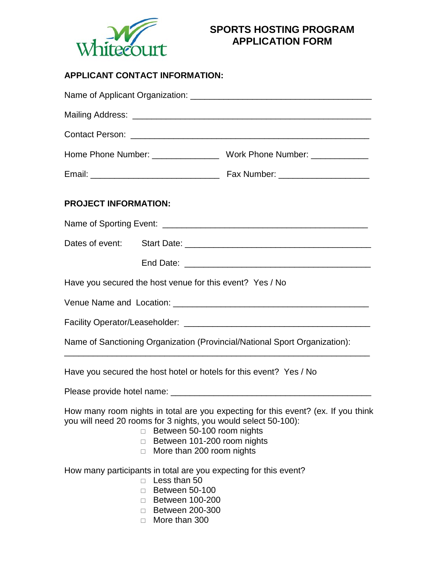

## **SPORTS HOSTING PROGRAM APPLICATION FORM**

## **APPLICANT CONTACT INFORMATION:**

| <b>PROJECT INFORMATION:</b> |                                                                                                                                                                                   |                                                                                                                                                                         |  |  |  |  |
|-----------------------------|-----------------------------------------------------------------------------------------------------------------------------------------------------------------------------------|-------------------------------------------------------------------------------------------------------------------------------------------------------------------------|--|--|--|--|
|                             |                                                                                                                                                                                   |                                                                                                                                                                         |  |  |  |  |
|                             |                                                                                                                                                                                   |                                                                                                                                                                         |  |  |  |  |
|                             |                                                                                                                                                                                   |                                                                                                                                                                         |  |  |  |  |
|                             | Have you secured the host venue for this event? Yes / No                                                                                                                          |                                                                                                                                                                         |  |  |  |  |
|                             |                                                                                                                                                                                   |                                                                                                                                                                         |  |  |  |  |
|                             |                                                                                                                                                                                   |                                                                                                                                                                         |  |  |  |  |
|                             |                                                                                                                                                                                   | Name of Sanctioning Organization (Provincial/National Sport Organization):<br>the control of the control of the control of the control of the control of the control of |  |  |  |  |
|                             |                                                                                                                                                                                   | Have you secured the host hotel or hotels for this event? Yes / No                                                                                                      |  |  |  |  |
|                             |                                                                                                                                                                                   |                                                                                                                                                                         |  |  |  |  |
|                             | you will need 20 rooms for 3 nights, you would select 50-100):<br>Between 50-100 room nights<br>$\Box$<br>Between 101-200 room nights<br>П<br>More than 200 room nights<br>$\Box$ | How many room nights in total are you expecting for this event? (ex. If you think                                                                                       |  |  |  |  |
|                             | Less than 50<br>$\Box$<br><b>Between 50-100</b><br>П<br>□ Between 100-200<br>□ Between 200-300<br>More than 300<br>П.                                                             | How many participants in total are you expecting for this event?                                                                                                        |  |  |  |  |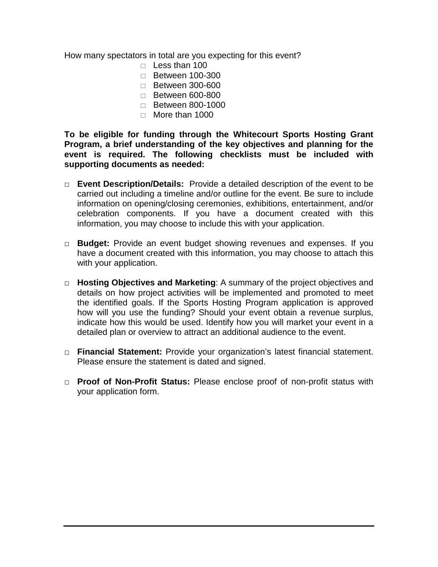How many spectators in total are you expecting for this event?

- $\Box$  Less than 100
- □ Between 100-300
- $\Box$  Between 300-600
- □ Between 600-800
- □ Between 800-1000
- $\Box$  More than 1000

**To be eligible for funding through the Whitecourt Sports Hosting Grant Program, a brief understanding of the key objectives and planning for the event is required. The following checklists must be included with supporting documents as needed:**

- □ **Event Description/Details:** Provide a detailed description of the event to be carried out including a timeline and/or outline for the event. Be sure to include information on opening/closing ceremonies, exhibitions, entertainment, and/or celebration components. If you have a document created with this information, you may choose to include this with your application.
- □ **Budget:** Provide an event budget showing revenues and expenses. If you have a document created with this information, you may choose to attach this with your application.
- □ **Hosting Objectives and Marketing**: A summary of the project objectives and details on how project activities will be implemented and promoted to meet the identified goals. If the Sports Hosting Program application is approved how will you use the funding? Should your event obtain a revenue surplus, indicate how this would be used. Identify how you will market your event in a detailed plan or overview to attract an additional audience to the event.
- □ **Financial Statement:** Provide your organization's latest financial statement. Please ensure the statement is dated and signed.
- □ **Proof of Non-Profit Status:** Please enclose proof of non-profit status with your application form.